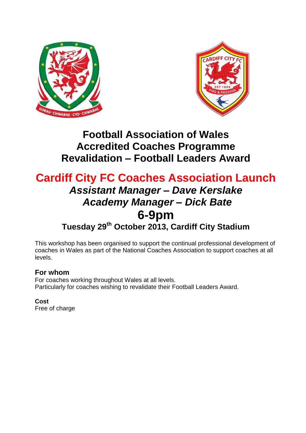



# **Football Association of Wales Accredited Coaches Programme Revalidation – Football Leaders Award**

# **Cardiff City FC Coaches Association Launch** *Assistant Manager – Dave Kerslake Academy Manager – Dick Bate*  **6-9pm Tuesday 29 th October 2013, Cardiff City Stadium**

This workshop has been organised to support the continual professional development of coaches in Wales as part of the National Coaches Association to support coaches at all levels.

# **For whom**

For coaches working throughout Wales at all levels. Particularly for coaches wishing to revalidate their Football Leaders Award.

## **Cost** Free of charge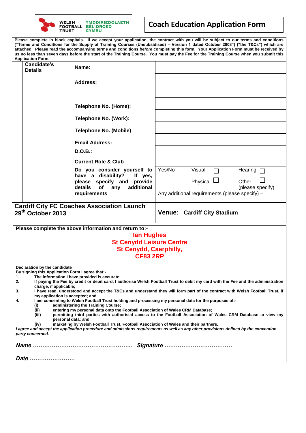

# **Coach Education Application Form**

**Please complete in block capitals. If we accept your application, the contract with you will be subject to our terms and conditions ("Terms and Conditions for the Supply of Training Courses (Unsubsidised) – Version 1 dated October 2008") ("the T&Cs") which are attached. Please read the accompanying terms and conditions** *before* **completing this form. Your Application Form must be received by us no less than seven days before the start of the Training Course. You must pay the Fee for the Training Course when you submit this Application Form.** 

|                                                                                                                                                                                                                                                                                                                                                                                                                                                                                                                                                                                                                                                                                                                                                                                                                                                                                                                                                                                                                                                                                                                                                   | Application Form.             |                                                                                                                                                  |                                                                                                                               |  |  |
|---------------------------------------------------------------------------------------------------------------------------------------------------------------------------------------------------------------------------------------------------------------------------------------------------------------------------------------------------------------------------------------------------------------------------------------------------------------------------------------------------------------------------------------------------------------------------------------------------------------------------------------------------------------------------------------------------------------------------------------------------------------------------------------------------------------------------------------------------------------------------------------------------------------------------------------------------------------------------------------------------------------------------------------------------------------------------------------------------------------------------------------------------|-------------------------------|--------------------------------------------------------------------------------------------------------------------------------------------------|-------------------------------------------------------------------------------------------------------------------------------|--|--|
|                                                                                                                                                                                                                                                                                                                                                                                                                                                                                                                                                                                                                                                                                                                                                                                                                                                                                                                                                                                                                                                                                                                                                   | Candidate's<br><b>Details</b> | Name:                                                                                                                                            |                                                                                                                               |  |  |
|                                                                                                                                                                                                                                                                                                                                                                                                                                                                                                                                                                                                                                                                                                                                                                                                                                                                                                                                                                                                                                                                                                                                                   |                               | <b>Address:</b>                                                                                                                                  |                                                                                                                               |  |  |
|                                                                                                                                                                                                                                                                                                                                                                                                                                                                                                                                                                                                                                                                                                                                                                                                                                                                                                                                                                                                                                                                                                                                                   |                               | Telephone No. (Home):                                                                                                                            |                                                                                                                               |  |  |
|                                                                                                                                                                                                                                                                                                                                                                                                                                                                                                                                                                                                                                                                                                                                                                                                                                                                                                                                                                                                                                                                                                                                                   |                               | Telephone No. (Work):                                                                                                                            |                                                                                                                               |  |  |
|                                                                                                                                                                                                                                                                                                                                                                                                                                                                                                                                                                                                                                                                                                                                                                                                                                                                                                                                                                                                                                                                                                                                                   |                               | <b>Telephone No. (Mobile)</b>                                                                                                                    |                                                                                                                               |  |  |
|                                                                                                                                                                                                                                                                                                                                                                                                                                                                                                                                                                                                                                                                                                                                                                                                                                                                                                                                                                                                                                                                                                                                                   |                               | <b>Email Address:</b>                                                                                                                            |                                                                                                                               |  |  |
|                                                                                                                                                                                                                                                                                                                                                                                                                                                                                                                                                                                                                                                                                                                                                                                                                                                                                                                                                                                                                                                                                                                                                   |                               | D.O.B.:                                                                                                                                          |                                                                                                                               |  |  |
|                                                                                                                                                                                                                                                                                                                                                                                                                                                                                                                                                                                                                                                                                                                                                                                                                                                                                                                                                                                                                                                                                                                                                   |                               | <b>Current Role &amp; Club</b>                                                                                                                   |                                                                                                                               |  |  |
|                                                                                                                                                                                                                                                                                                                                                                                                                                                                                                                                                                                                                                                                                                                                                                                                                                                                                                                                                                                                                                                                                                                                                   |                               | Do you consider yourself to<br>have a disability?<br>If yes,<br>please specify and provide<br>additional<br>details<br>of<br>any<br>requirements | Yes/No<br>Visual<br>Hearing<br>Physical $\Box$<br>Other<br>(please specify)<br>Any additional requirements (please specify) - |  |  |
| <b>Cardiff City FC Coaches Association Launch</b><br>29th October 2013<br><b>Venue: Cardiff City Stadium</b>                                                                                                                                                                                                                                                                                                                                                                                                                                                                                                                                                                                                                                                                                                                                                                                                                                                                                                                                                                                                                                      |                               |                                                                                                                                                  |                                                                                                                               |  |  |
| Please complete the above information and return to:-<br>lan Hughes<br><b>St Cenydd Leisure Centre</b><br><b>St Cenydd, Caerphilly,</b><br><b>CF83 2RP</b>                                                                                                                                                                                                                                                                                                                                                                                                                                                                                                                                                                                                                                                                                                                                                                                                                                                                                                                                                                                        |                               |                                                                                                                                                  |                                                                                                                               |  |  |
| Declaration by the candidate<br>By signing this Application Form I agree that:-<br>The information I have provided is accurate;<br>1.<br>2.<br>If paying the Fee by credit or debit card, I authorise Welsh Football Trust to debit my card with the Fee and the administration<br>charge, if applicable;<br>I have read, understood and accept the T&Cs and understand they will form part of the contract with Welsh Football Trust, if<br>3.<br>my application is accepted; and<br>4.<br>I am consenting to Welsh Football Trust holding and processing my personal data for the purposes of:-<br>administering the Training Course;<br>(i)<br>entering my personal data onto the Football Association of Wales CRM Database;<br>(ii)<br>permitting third parties with authorised access to the Football Association of Wales CRM Database to view my<br>(iii)<br>personal data; and<br>marketing by Welsh Football Trust, Football Association of Wales and their partners.<br>(iv)<br>I agree and accept the application procedure and admissions requirements as well as any other provisions defined by the convention<br>party concerned. |                               |                                                                                                                                                  |                                                                                                                               |  |  |
|                                                                                                                                                                                                                                                                                                                                                                                                                                                                                                                                                                                                                                                                                                                                                                                                                                                                                                                                                                                                                                                                                                                                                   |                               |                                                                                                                                                  |                                                                                                                               |  |  |
|                                                                                                                                                                                                                                                                                                                                                                                                                                                                                                                                                                                                                                                                                                                                                                                                                                                                                                                                                                                                                                                                                                                                                   | Date                          |                                                                                                                                                  |                                                                                                                               |  |  |